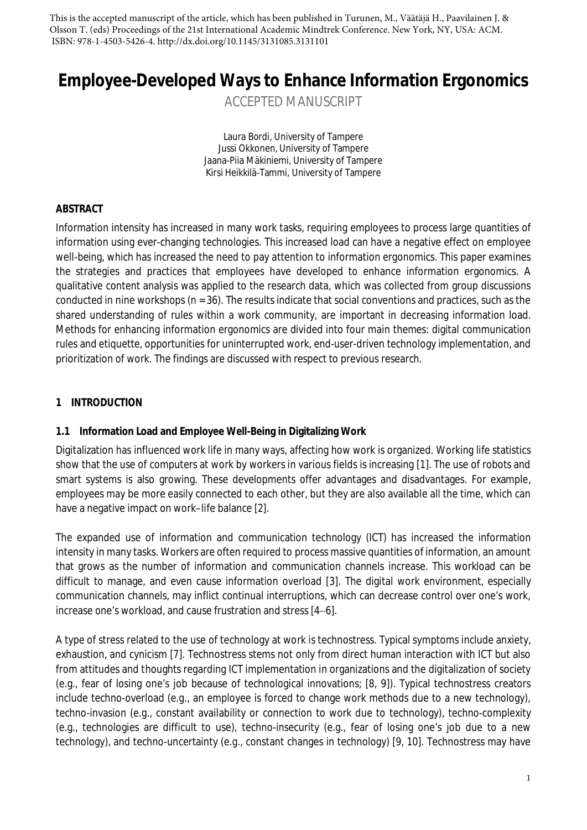This is the accepted manuscript of the article, which has been published in Turunen, M., Väätäjä H., Paavilainen J. & Olsson T. (eds) Proceedings of the 21st International Academic Mindtrek Conference. New York, NY, USA: ACM. ISBN: 978-1-4503-5426-4. http://dx.doi.org/10.1145/3131085.3131101

# **Employee-Developed Ways to Enhance Information Ergonomics**

ACCEPTED MANUSCRIPT

Laura Bordi, University of Tampere Jussi Okkonen, University of Tampere Jaana-Piia Mäkiniemi, University of Tampere Kirsi Heikkilä-Tammi, University of Tampere

#### **ABSTRACT**

Information intensity has increased in many work tasks, requiring employees to process large quantities of information using ever-changing technologies. This increased load can have a negative effect on employee well-being, which has increased the need to pay attention to information ergonomics. This paper examines the strategies and practices that employees have developed to enhance information ergonomics. A qualitative content analysis was applied to the research data, which was collected from group discussions conducted in nine workshops (*n* = 36). The results indicate that social conventions and practices, such as the shared understanding of rules within a work community, are important in decreasing information load. Methods for enhancing information ergonomics are divided into four main themes: digital communication rules and etiquette, opportunities for uninterrupted work, end-user-driven technology implementation, and prioritization of work. The findings are discussed with respect to previous research.

#### **1 INTRODUCTION**

#### **1.1 Information Load and Employee Well-Being in Digitalizing Work**

Digitalization has influenced work life in many ways, affecting how work is organized. Working life statistics show that the use of computers at work by workers in various fields is increasing [1]. The use of robots and smart systems is also growing. These developments offer advantages and disadvantages. For example, employees may be more easily connected to each other, but they are also available all the time, which can have a negative impact on work–life balance [2].

The expanded use of information and communication technology (ICT) has increased the information intensity in many tasks. Workers are often required to process massive quantities of information, an amount that grows as the number of information and communication channels increase. This workload can be difficult to manage, and even cause information overload [3]. The digital work environment, especially communication channels, may inflict continual interruptions, which can decrease control over one's work, increase one's workload, and cause frustration and stress [4-6].

A type of stress related to the use of technology at work is technostress. Typical symptoms include anxiety, exhaustion, and cynicism [7]. Technostress stems not only from direct human interaction with ICT but also from attitudes and thoughts regarding ICT implementation in organizations and the digitalization of society (e.g., fear of losing one's job because of technological innovations; [8, 9]). Typical technostress creators include techno-overload (e.g., an employee is forced to change work methods due to a new technology), techno-invasion (e.g., constant availability or connection to work due to technology), techno-complexity (e.g., technologies are difficult to use), techno-insecurity (e.g., fear of losing one's job due to a new technology), and techno-uncertainty (e.g., constant changes in technology) [9, 10]. Technostress may have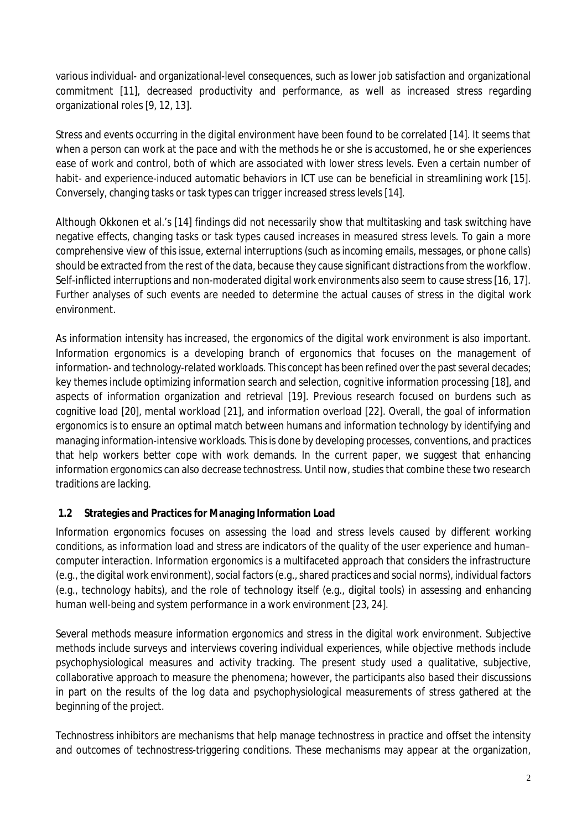various individual- and organizational-level consequences, such as lower job satisfaction and organizational commitment [11], decreased productivity and performance, as well as increased stress regarding organizational roles [9, 12, 13].

Stress and events occurring in the digital environment have been found to be correlated [14]. It seems that when a person can work at the pace and with the methods he or she is accustomed, he or she experiences ease of work and control, both of which are associated with lower stress levels. Even a certain number of habit- and experience-induced automatic behaviors in ICT use can be beneficial in streamlining work [15]. Conversely, changing tasks or task types can trigger increased stress levels [14].

Although Okkonen et al.'s [14] findings did not necessarily show that multitasking and task switching have negative effects, changing tasks or task types caused increases in measured stress levels. To gain a more comprehensive view of this issue, external interruptions (such as incoming emails, messages, or phone calls) should be extracted from the rest of the data, because they cause significant distractions from the workflow. Self-inflicted interruptions and non-moderated digital work environments also seem to cause stress [16, 17]. Further analyses of such events are needed to determine the actual causes of stress in the digital work environment.

As information intensity has increased, the ergonomics of the digital work environment is also important. Information ergonomics is a developing branch of ergonomics that focuses on the management of information- and technology-related workloads. This concept has been refined over the past several decades; key themes include optimizing information search and selection, cognitive information processing [18], and aspects of information organization and retrieval [19]. Previous research focused on burdens such as cognitive load [20], mental workload [21], and information overload [22]. Overall, the goal of information ergonomics is to ensure an optimal match between humans and information technology by identifying and managing information-intensive workloads. This is done by developing processes, conventions, and practices that help workers better cope with work demands. In the current paper, we suggest that enhancing information ergonomics can also decrease technostress. Until now, studies that combine these two research traditions are lacking.

## **1.2 Strategies and Practices for Managing Information Load**

Information ergonomics focuses on assessing the load and stress levels caused by different working conditions, as information load and stress are indicators of the quality of the user experience and human– computer interaction. Information ergonomics is a multifaceted approach that considers the infrastructure (e.g., the digital work environment), social factors (e.g., shared practices and social norms), individual factors (e.g., technology habits), and the role of technology itself (e.g., digital tools) in assessing and enhancing human well-being and system performance in a work environment [23, 24].

Several methods measure information ergonomics and stress in the digital work environment. Subjective methods include surveys and interviews covering individual experiences, while objective methods include psychophysiological measures and activity tracking. The present study used a qualitative, subjective, collaborative approach to measure the phenomena; however, the participants also based their discussions in part on the results of the log data and psychophysiological measurements of stress gathered at the beginning of the project.

Technostress inhibitors are mechanisms that help manage technostress in practice and offset the intensity and outcomes of technostress-triggering conditions. These mechanisms may appear at the organization,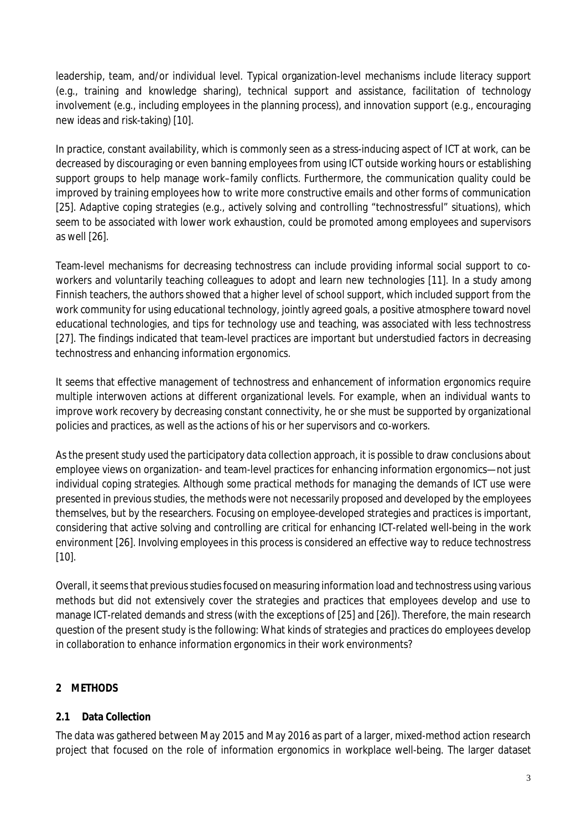leadership, team, and/or individual level. Typical organization-level mechanisms include literacy support (e.g., training and knowledge sharing), technical support and assistance, facilitation of technology involvement (e.g., including employees in the planning process), and innovation support (e.g., encouraging new ideas and risk-taking) [10].

In practice, constant availability, which is commonly seen as a stress-inducing aspect of ICT at work, can be decreased by discouraging or even banning employees from using ICT outside working hours or establishing support groups to help manage work–family conflicts. Furthermore, the communication quality could be improved by training employees how to write more constructive emails and other forms of communication [25]. Adaptive coping strategies (e.g., actively solving and controlling "technostressful" situations), which seem to be associated with lower work exhaustion, could be promoted among employees and supervisors as well [26].

Team-level mechanisms for decreasing technostress can include providing informal social support to coworkers and voluntarily teaching colleagues to adopt and learn new technologies [11]. In a study among Finnish teachers, the authors showed that a higher level of school support, which included support from the work community for using educational technology, jointly agreed goals, a positive atmosphere toward novel educational technologies, and tips for technology use and teaching, was associated with less technostress [27]. The findings indicated that team-level practices are important but understudied factors in decreasing technostress and enhancing information ergonomics.

It seems that effective management of technostress and enhancement of information ergonomics require multiple interwoven actions at different organizational levels. For example, when an individual wants to improve work recovery by decreasing constant connectivity, he or she must be supported by organizational policies and practices, as well as the actions of his or her supervisors and co-workers.

As the present study used the participatory data collection approach, it is possible to draw conclusions about employee views on organization- and team-level practices for enhancing information ergonomics—not just individual coping strategies. Although some practical methods for managing the demands of ICT use were presented in previous studies, the methods were not necessarily proposed and developed by the employees themselves, but by the researchers. Focusing on employee-developed strategies and practices is important, considering that active solving and controlling are critical for enhancing ICT-related well-being in the work environment [26]. Involving employees in this process is considered an effective way to reduce technostress [10].

Overall, it seems that previous studies focused on measuring information load and technostress using various methods but did not extensively cover the strategies and practices that employees develop and use to manage ICT-related demands and stress (with the exceptions of [25] and [26]). Therefore, the main research question of the present study is the following: What kinds of strategies and practices do employees develop in collaboration to enhance information ergonomics in their work environments?

## **2 METHODS**

## **2.1 Data Collection**

The data was gathered between May 2015 and May 2016 as part of a larger, mixed-method action research project that focused on the role of information ergonomics in workplace well-being. The larger dataset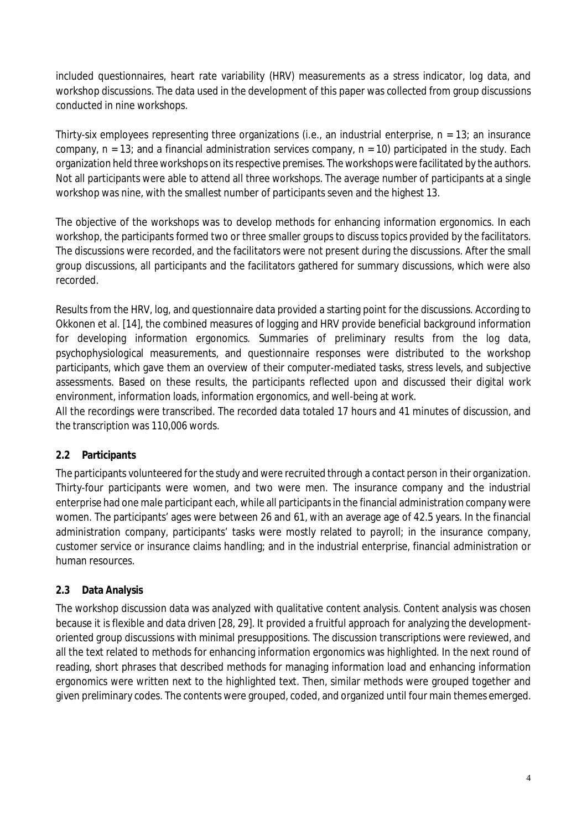included questionnaires, heart rate variability (HRV) measurements as a stress indicator, log data, and workshop discussions. The data used in the development of this paper was collected from group discussions conducted in nine workshops.

Thirty-six employees representing three organizations (i.e., an industrial enterprise, *n* = 13; an insurance company, *n* = 13; and a financial administration services company, *n* = 10) participated in the study. Each organization held three workshops on its respective premises. The workshops were facilitated by the authors. Not all participants were able to attend all three workshops. The average number of participants at a single workshop was nine, with the smallest number of participants seven and the highest 13.

The objective of the workshops was to develop methods for enhancing information ergonomics. In each workshop, the participants formed two or three smaller groups to discuss topics provided by the facilitators. The discussions were recorded, and the facilitators were not present during the discussions. After the small group discussions, all participants and the facilitators gathered for summary discussions, which were also recorded.

Results from the HRV, log, and questionnaire data provided a starting point for the discussions. According to Okkonen et al. [14], the combined measures of logging and HRV provide beneficial background information for developing information ergonomics. Summaries of preliminary results from the log data, psychophysiological measurements, and questionnaire responses were distributed to the workshop participants, which gave them an overview of their computer-mediated tasks, stress levels, and subjective assessments. Based on these results, the participants reflected upon and discussed their digital work environment, information loads, information ergonomics, and well-being at work.

All the recordings were transcribed. The recorded data totaled 17 hours and 41 minutes of discussion, and the transcription was 110,006 words.

## **2.2 Participants**

The participants volunteered for the study and were recruited through a contact person in their organization. Thirty-four participants were women, and two were men. The insurance company and the industrial enterprise had one male participant each, while all participants in the financial administration company were women. The participants' ages were between 26 and 61, with an average age of 42.5 years. In the financial administration company, participants' tasks were mostly related to payroll; in the insurance company, customer service or insurance claims handling; and in the industrial enterprise, financial administration or human resources.

## **2.3 Data Analysis**

The workshop discussion data was analyzed with qualitative content analysis. Content analysis was chosen because it is flexible and data driven [28, 29]. It provided a fruitful approach for analyzing the developmentoriented group discussions with minimal presuppositions. The discussion transcriptions were reviewed, and all the text related to methods for enhancing information ergonomics was highlighted. In the next round of reading, short phrases that described methods for managing information load and enhancing information ergonomics were written next to the highlighted text. Then, similar methods were grouped together and given preliminary codes. The contents were grouped, coded, and organized until four main themes emerged.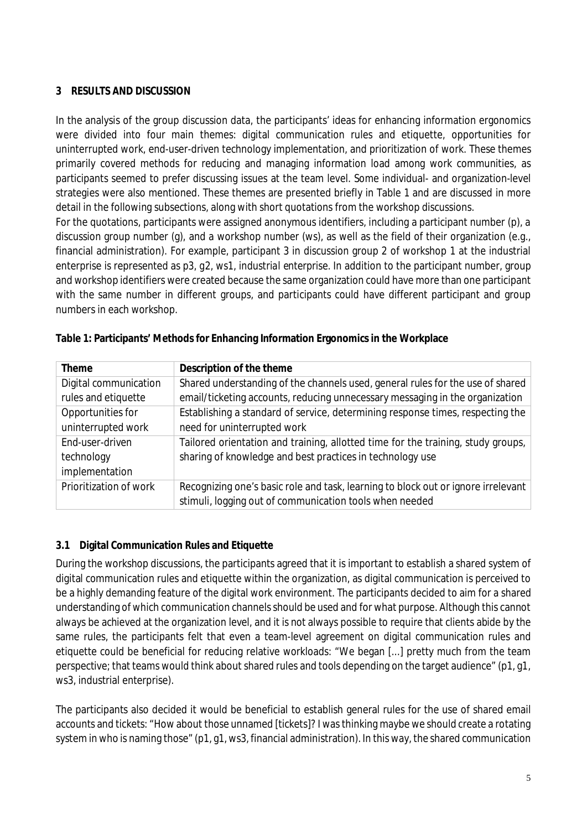#### **3 RESULTS AND DISCUSSION**

In the analysis of the group discussion data, the participants' ideas for enhancing information ergonomics were divided into four main themes: digital communication rules and etiquette, opportunities for uninterrupted work, end-user-driven technology implementation, and prioritization of work. These themes primarily covered methods for reducing and managing information load among work communities, as participants seemed to prefer discussing issues at the team level. Some individual- and organization-level strategies were also mentioned. These themes are presented briefly in Table 1 and are discussed in more detail in the following subsections, along with short quotations from the workshop discussions.

For the quotations, participants were assigned anonymous identifiers, including a participant number (p), a discussion group number (g), and a workshop number (ws), as well as the field of their organization (e.g., financial administration). For example, participant 3 in discussion group 2 of workshop 1 at the industrial enterprise is represented as *p3, g2, ws1, industrial enterprise*. In addition to the participant number, group and workshop identifiers were created because the same organization could have more than one participant with the same number in different groups, and participants could have different participant and group numbers in each workshop.

| Theme                  | Description of the theme                                                          |
|------------------------|-----------------------------------------------------------------------------------|
| Digital communication  | Shared understanding of the channels used, general rules for the use of shared    |
| rules and etiquette    | email/ticketing accounts, reducing unnecessary messaging in the organization      |
| Opportunities for      | Establishing a standard of service, determining response times, respecting the    |
| uninterrupted work     | need for uninterrupted work                                                       |
| End-user-driven        | Tailored orientation and training, allotted time for the training, study groups,  |
| technology             | sharing of knowledge and best practices in technology use                         |
| implementation         |                                                                                   |
| Prioritization of work | Recognizing one's basic role and task, learning to block out or ignore irrelevant |
|                        | stimuli, logging out of communication tools when needed                           |

**Table 1: Participants' Methods for Enhancing Information Ergonomics in the Workplace**

#### **3.1 Digital Communication Rules and Etiquette**

During the workshop discussions, the participants agreed that it is important to establish a shared system of digital communication rules and etiquette within the organization, as digital communication is perceived to be a highly demanding feature of the digital work environment. The participants decided to aim for a shared understanding of which communication channels should be used and for what purpose. Although this cannot always be achieved at the organization level, and it is not always possible to require that clients abide by the same rules, the participants felt that even a team-level agreement on digital communication rules and etiquette could be beneficial for reducing relative workloads: "We began [...] pretty much from the team perspective; that teams would think about shared rules and tools depending on the target audience" (p1, g1, ws3, industrial enterprise).

The participants also decided it would be beneficial to establish general rules for the use of shared email accounts and tickets: "How about those unnamed [tickets]? I was thinking maybe we should create a rotating system in who is naming those" (p1, g1, ws3, financial administration). In this way, the shared communication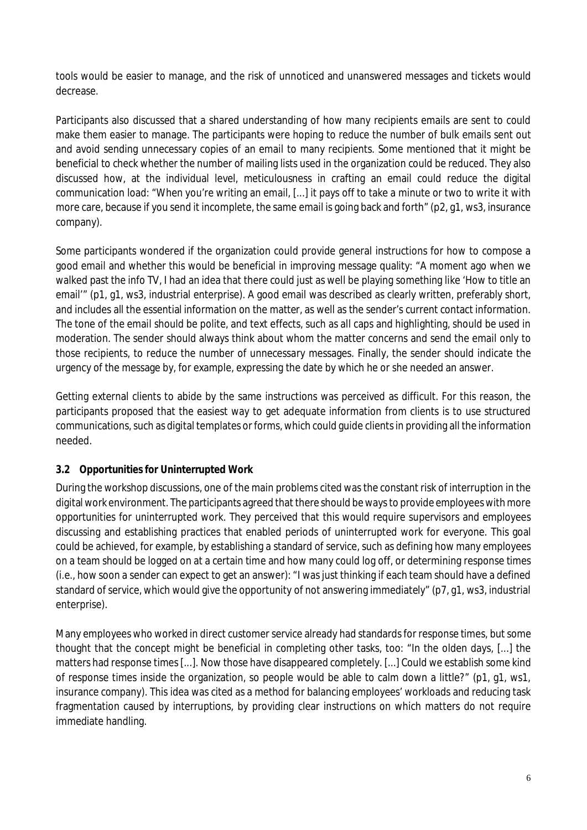tools would be easier to manage, and the risk of unnoticed and unanswered messages and tickets would decrease.

Participants also discussed that a shared understanding of how many recipients emails are sent to could make them easier to manage. The participants were hoping to reduce the number of bulk emails sent out and avoid sending unnecessary copies of an email to many recipients. Some mentioned that it might be beneficial to check whether the number of mailing lists used in the organization could be reduced. They also discussed how, at the individual level, meticulousness in crafting an email could reduce the digital communication load: "When you're writing an email, [...] it pays off to take a minute or two to write it with more care, because if you send it incomplete, the same email is going back and forth" (p2, g1, ws3, insurance company).

Some participants wondered if the organization could provide general instructions for how to compose a good email and whether this would be beneficial in improving message quality: "A moment ago when we walked past the info TV, I had an idea that there could just as well be playing something like 'How to title an email'" (p1, q1, ws3, industrial enterprise). A good email was described as clearly written, preferably short, and includes all the essential information on the matter, as well as the sender's current contact information. The tone of the email should be polite, and text effects, such as all caps and highlighting, should be used in moderation. The sender should always think about whom the matter concerns and send the email only to those recipients, to reduce the number of unnecessary messages. Finally, the sender should indicate the urgency of the message by, for example, expressing the date by which he or she needed an answer.

Getting external clients to abide by the same instructions was perceived as difficult. For this reason, the participants proposed that the easiest way to get adequate information from clients is to use structured communications, such as digital templates or forms, which could guide clients in providing all the information needed.

## **3.2 Opportunities for Uninterrupted Work**

During the workshop discussions, one of the main problems cited was the constant risk of interruption in the digital work environment. The participants agreed that there should be ways to provide employees with more opportunities for uninterrupted work. They perceived that this would require supervisors and employees discussing and establishing practices that enabled periods of uninterrupted work for everyone. This goal could be achieved, for example, by establishing a standard of service, such as defining how many employees on a team should be logged on at a certain time and how many could log off, or determining response times (i.e., how soon a sender can expect to get an answer): "I was just thinking if each team should have a defined standard of service, which would give the opportunity of not answering immediately" (p7, g1, ws3, industrial enterprise).

Many employees who worked in direct customer service already had standards for response times, but some thought that the concept might be beneficial in completing other tasks, too: "In the olden days, [...] the matters had response times [...]. Now those have disappeared completely. [...] Could we establish some kind of response times inside the organization, so people would be able to calm down a little?" (p1, g1, ws1, insurance company). This idea was cited as a method for balancing employees' workloads and reducing task fragmentation caused by interruptions, by providing clear instructions on which matters do not require immediate handling.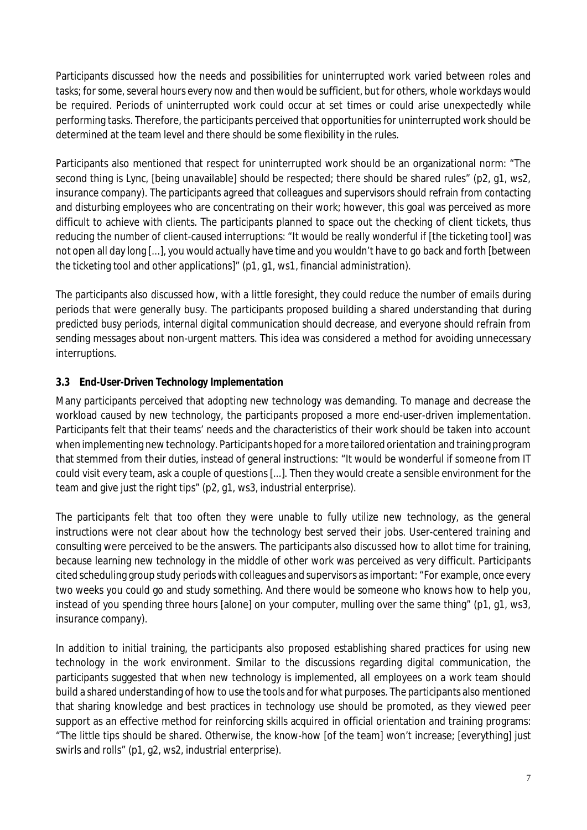Participants discussed how the needs and possibilities for uninterrupted work varied between roles and tasks; for some, several hours every now and then would be sufficient, but for others, whole workdays would be required. Periods of uninterrupted work could occur at set times or could arise unexpectedly while performing tasks. Therefore, the participants perceived that opportunities for uninterrupted work should be determined at the team level and there should be some flexibility in the rules.

Participants also mentioned that respect for uninterrupted work should be an organizational norm: "The second thing is Lync, [being unavailable] should be respected; there should be shared rules" (p2, g1, ws2, insurance company). The participants agreed that colleagues and supervisors should refrain from contacting and disturbing employees who are concentrating on their work; however, this goal was perceived as more difficult to achieve with clients. The participants planned to space out the checking of client tickets, thus reducing the number of client-caused interruptions: "It would be really wonderful if [the ticketing tool] was not open all day long [...], you would actually have time and you wouldn't have to go back and forth [between the ticketing tool and other applications]" (p1, g1, ws1, financial administration).

The participants also discussed how, with a little foresight, they could reduce the number of emails during periods that were generally busy. The participants proposed building a shared understanding that during predicted busy periods, internal digital communication should decrease, and everyone should refrain from sending messages about non-urgent matters. This idea was considered a method for avoiding unnecessary interruptions.

## **3.3 End-User-Driven Technology Implementation**

Many participants perceived that adopting new technology was demanding. To manage and decrease the workload caused by new technology, the participants proposed a more end-user-driven implementation. Participants felt that their teams' needs and the characteristics of their work should be taken into account when implementing new technology. Participants hoped for a more tailored orientation and training program that stemmed from their duties, instead of general instructions: "It would be wonderful if someone from IT could visit every team, ask a couple of questions [...]. Then they would create a sensible environment for the team and give just the right tips" (p2, g1, ws3, industrial enterprise).

The participants felt that too often they were unable to fully utilize new technology, as the general instructions were not clear about how the technology best served their jobs. User-centered training and consulting were perceived to be the answers. The participants also discussed how to allot time for training, because learning new technology in the middle of other work was perceived as very difficult. Participants cited scheduling group study periods with colleagues and supervisors as important: "For example, once every two weeks you could go and study something. And there would be someone who knows how to help you, instead of you spending three hours [alone] on your computer, mulling over the same thing" (p1, g1, ws3, insurance company).

In addition to initial training, the participants also proposed establishing shared practices for using new technology in the work environment. Similar to the discussions regarding digital communication, the participants suggested that when new technology is implemented, all employees on a work team should build a shared understanding of how to use the tools and for what purposes. The participants also mentioned that sharing knowledge and best practices in technology use should be promoted, as they viewed peer support as an effective method for reinforcing skills acquired in official orientation and training programs: "The little tips should be shared. Otherwise, the know-how [of the team] won't increase; [everything] just swirls and rolls" (p1, g2, ws2, industrial enterprise).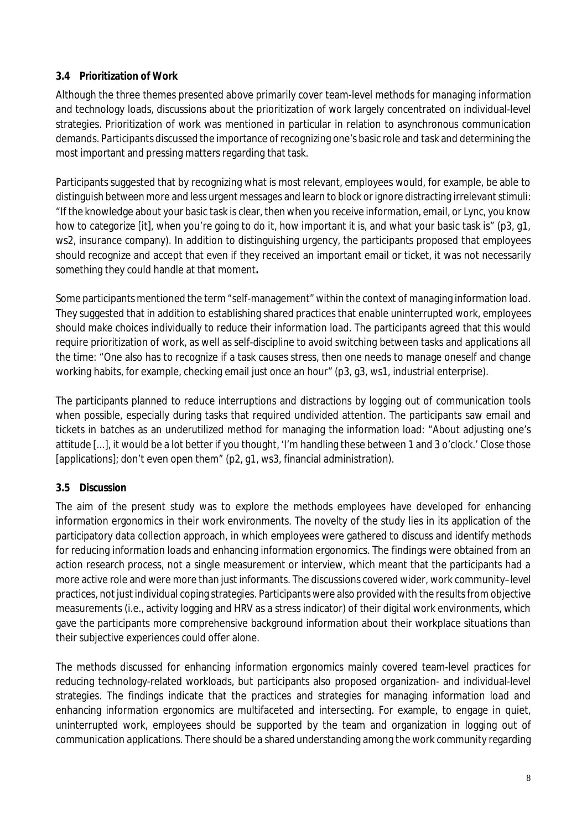### **3.4 Prioritization of Work**

Although the three themes presented above primarily cover team-level methods for managing information and technology loads, discussions about the prioritization of work largely concentrated on individual-level strategies. Prioritization of work was mentioned in particular in relation to asynchronous communication demands. Participants discussed the importance of recognizing one's basic role and task and determining the most important and pressing matters regarding that task.

Participants suggested that by recognizing what is most relevant, employees would, for example, be able to distinguish between more and less urgent messages and learn to block or ignore distracting irrelevant stimuli: "If the knowledge about your basic task is clear, then when you receive information, email, or Lync, you know how to categorize [it], when you're going to do it, how important it is, and what your basic task is" (p3, g1, ws2, insurance company). In addition to distinguishing urgency, the participants proposed that employees should recognize and accept that even if they received an important email or ticket, it was not necessarily something they could handle at that moment**.**

Some participants mentioned the term "self-management" within the context of managing information load. They suggested that in addition to establishing shared practices that enable uninterrupted work, employees should make choices individually to reduce their information load. The participants agreed that this would require prioritization of work, as well as self-discipline to avoid switching between tasks and applications all the time: "One also has to recognize if a task causes stress, then one needs to manage oneself and change working habits, for example, checking email just once an hour" (p3, g3, ws1, industrial enterprise).

The participants planned to reduce interruptions and distractions by logging out of communication tools when possible, especially during tasks that required undivided attention. The participants saw email and tickets in batches as an underutilized method for managing the information load: "About adjusting one's attitude [...], it would be a lot better if you thought, 'I'm handling these between 1 and 3 o'clock.' Close those [applications]; don't even open them" (p2, g1, ws3, financial administration).

#### **3.5 Discussion**

The aim of the present study was to explore the methods employees have developed for enhancing information ergonomics in their work environments. The novelty of the study lies in its application of the participatory data collection approach, in which employees were gathered to discuss and identify methods for reducing information loads and enhancing information ergonomics. The findings were obtained from an action research process, not a single measurement or interview, which meant that the participants had a more active role and were more than just informants. The discussions covered wider, work community–level practices, not just individual coping strategies. Participants were also provided with the results from objective measurements (i.e., activity logging and HRV as a stress indicator) of their digital work environments, which gave the participants more comprehensive background information about their workplace situations than their subjective experiences could offer alone.

The methods discussed for enhancing information ergonomics mainly covered team-level practices for reducing technology-related workloads, but participants also proposed organization- and individual-level strategies. The findings indicate that the practices and strategies for managing information load and enhancing information ergonomics are multifaceted and intersecting. For example, to engage in quiet, uninterrupted work, employees should be supported by the team and organization in logging out of communication applications. There should be a shared understanding among the work community regarding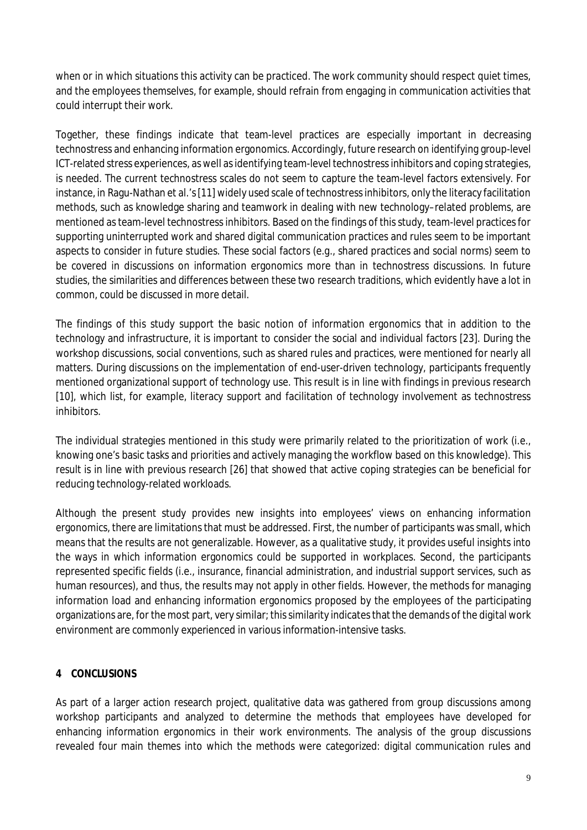when or in which situations this activity can be practiced. The work community should respect quiet times, and the employees themselves, for example, should refrain from engaging in communication activities that could interrupt their work.

Together, these findings indicate that team-level practices are especially important in decreasing technostress and enhancing information ergonomics. Accordingly, future research on identifying group-level ICT-related stress experiences, as well as identifying team-level technostress inhibitors and coping strategies, is needed. The current technostress scales do not seem to capture the team-level factors extensively. For instance, in Ragu-Nathan et al.'s [11] widely used scale of technostress inhibitors, only the literacy facilitation methods, such as knowledge sharing and teamwork in dealing with new technology–related problems, are mentioned as team-level technostress inhibitors. Based on the findings of this study, team-level practices for supporting uninterrupted work and shared digital communication practices and rules seem to be important aspects to consider in future studies. These social factors (e.g., shared practices and social norms) seem to be covered in discussions on information ergonomics more than in technostress discussions. In future studies, the similarities and differences between these two research traditions, which evidently have a lot in common, could be discussed in more detail.

The findings of this study support the basic notion of information ergonomics that in addition to the technology and infrastructure, it is important to consider the social and individual factors [23]. During the workshop discussions, social conventions, such as shared rules and practices, were mentioned for nearly all matters. During discussions on the implementation of end-user-driven technology, participants frequently mentioned organizational support of technology use. This result is in line with findings in previous research [10], which list, for example, literacy support and facilitation of technology involvement as technostress inhibitors.

The individual strategies mentioned in this study were primarily related to the prioritization of work (i.e., knowing one's basic tasks and priorities and actively managing the workflow based on this knowledge). This result is in line with previous research [26] that showed that active coping strategies can be beneficial for reducing technology-related workloads.

Although the present study provides new insights into employees' views on enhancing information ergonomics, there are limitations that must be addressed. First, the number of participants was small, which means that the results are not generalizable. However, as a qualitative study, it provides useful insights into the ways in which information ergonomics could be supported in workplaces. Second, the participants represented specific fields (i.e., insurance, financial administration, and industrial support services, such as human resources), and thus, the results may not apply in other fields. However, the methods for managing information load and enhancing information ergonomics proposed by the employees of the participating organizations are, for the most part, very similar; this similarity indicates that the demands of the digital work environment are commonly experienced in various information-intensive tasks.

## **4 CONCLUSIONS**

As part of a larger action research project, qualitative data was gathered from group discussions among workshop participants and analyzed to determine the methods that employees have developed for enhancing information ergonomics in their work environments. The analysis of the group discussions revealed four main themes into which the methods were categorized: digital communication rules and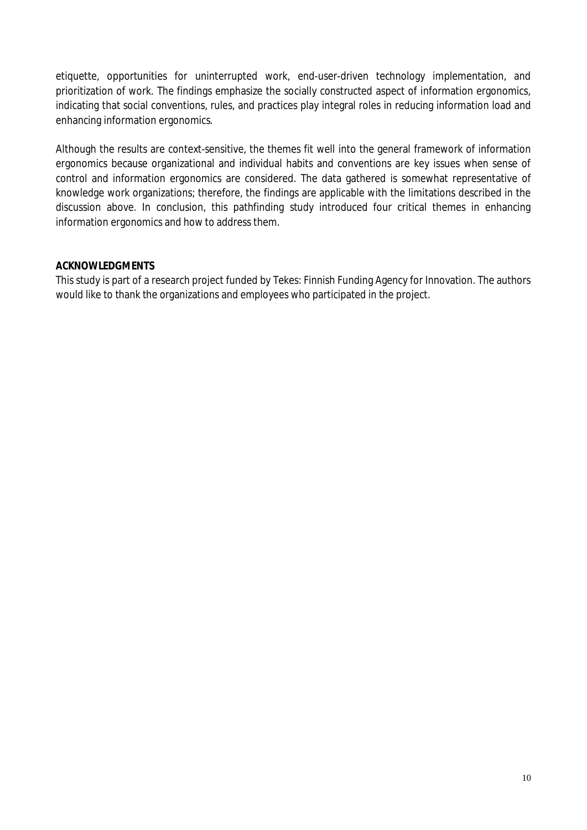etiquette, opportunities for uninterrupted work, end-user-driven technology implementation, and prioritization of work. The findings emphasize the socially constructed aspect of information ergonomics, indicating that social conventions, rules, and practices play integral roles in reducing information load and enhancing information ergonomics.

Although the results are context-sensitive, the themes fit well into the general framework of information ergonomics because organizational and individual habits and conventions are key issues when sense of control and information ergonomics are considered. The data gathered is somewhat representative of knowledge work organizations; therefore, the findings are applicable with the limitations described in the discussion above. In conclusion, this pathfinding study introduced four critical themes in enhancing information ergonomics and how to address them.

#### **ACKNOWLEDGMENTS**

This study is part of a research project funded by Tekes: Finnish Funding Agency for Innovation. The authors would like to thank the organizations and employees who participated in the project.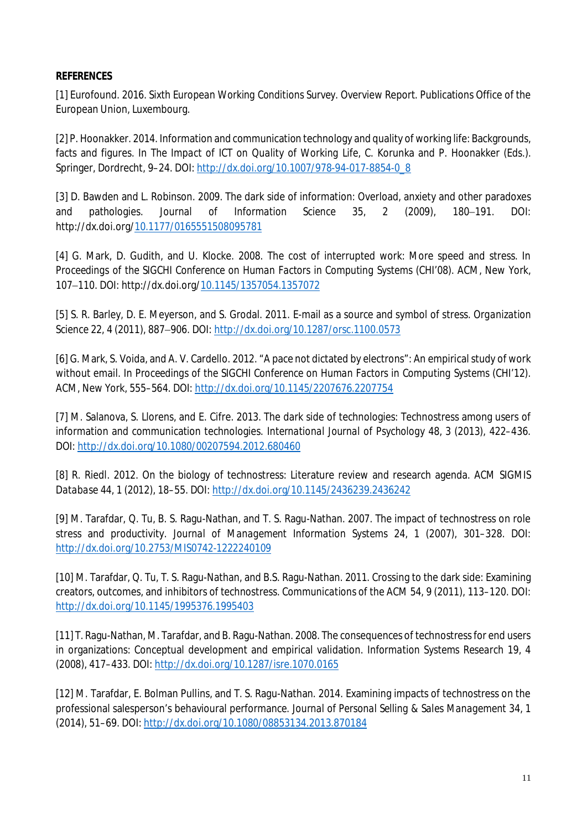#### **REFERENCES**

[1] Eurofound. 2016. *Sixth European Working Conditions Survey.* Overview Report. Publications Office of the European Union, Luxembourg.

[2] P. Hoonakker. 2014. Information and communication technology and quality of working life: Backgrounds, facts and figures. In *The Impact of ICT on Quality of Working Life*, C. Korunka and P. Hoonakker (Eds.). Springer, Dordrecht, 9–24. DOI: http://dx.doi.org/10.1007/978-94-017-8854-0\_8

[3] D. Bawden and L. Robinson. 2009. The dark side of information: Overload, anxiety and other paradoxes and pathologies. *Journal of Information Science* 35, 2 (2009), 180-191. DOI: http://dx.doi.org/10.1177/0165551508095781

[4] G. Mark, D. Gudith, and U. Klocke. 2008. The cost of interrupted work: More speed and stress. In *Proceedings of the SIGCHI Conference on Human Factors in Computing Systems* (CHI'08). ACM, New York, 107-110. DOI: http://dx.doi.org/10.1145/1357054.1357072

[5] S. R. Barley, D. E. Meyerson, and S. Grodal. 2011. E-mail as a source and symbol of stress. *Organization Science* 22, 4 (2011), 887-906. DOI: http://dx.doi.org/10.1287/orsc.1100.0573

[6] G. Mark, S. Voida, and A. V. Cardello. 2012. "A pace not dictated by electrons": An empirical study of work without email. In *Proceedings of the SIGCHI Conference on Human Factors in Computing Systems* (CHI'12). ACM, New York, 555–564. DOI: http://dx.doi.org/10.1145/2207676.2207754

[7] M. Salanova, S. Llorens, and E. Cifre. 2013. The dark side of technologies: Technostress among users of information and communication technologies. *International Journal of Psychology* 48, 3 (2013), 422–436. DOI: http://dx.doi.org/10.1080/00207594.2012.680460

[8] R. Riedl. 2012. On the biology of technostress: Literature review and research agenda. *ACM SIGMIS Database* 44, 1 (2012), 18–55. DOI: http://dx.doi.org/10.1145/2436239.2436242

[9] M. Tarafdar, Q. Tu, B. S. Ragu-Nathan, and T. S. Ragu-Nathan. 2007. The impact of technostress on role stress and productivity. *Journal of Management Information Systems* 24, 1 (2007), 301–328. DOI: http://dx.doi.org/10.2753/MIS0742-1222240109

[10] M. Tarafdar, Q. Tu, T. S. Ragu-Nathan, and B.S. Ragu-Nathan. 2011. Crossing to the dark side: Examining creators, outcomes, and inhibitors of technostress. *Communications of the ACM* 54, 9 (2011), 113–120. DOI: http://dx.doi.org/10.1145/1995376.1995403

[11] T. Ragu-Nathan, M. Tarafdar, and B. Ragu-Nathan. 2008. The consequences of technostress for end users in organizations: Conceptual development and empirical validation. *Information Systems Research* 19, 4 (2008), 417–433. DOI: http://dx.doi.org/10.1287/isre.1070.0165

[12] M. Tarafdar, E. Bolman Pullins, and T. S. Ragu-Nathan. 2014. Examining impacts of technostress on the professional salesperson's behavioural performance. *Journal of Personal Selling & Sales Management* 34, 1 (2014), 51–69. DOI: http://dx.doi.org/10.1080/08853134.2013.870184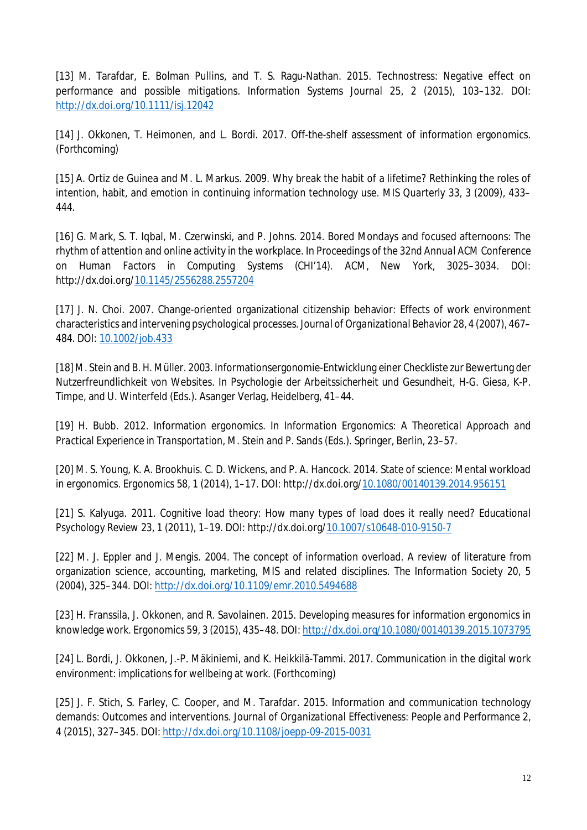[13] M. Tarafdar, E. Bolman Pullins, and T. S. Ragu-Nathan. 2015. Technostress: Negative effect on performance and possible mitigations. *Information Systems Journal* 25, 2 (2015), 103–132. DOI: http://dx.doi.org/10.1111/isj.12042

[14] J. Okkonen, T. Heimonen, and L. Bordi. 2017. Off-the-shelf assessment of information ergonomics. (Forthcoming)

[15] A. Ortiz de Guinea and M. L. Markus. 2009. Why break the habit of a lifetime? Rethinking the roles of intention, habit, and emotion in continuing information technology use. *MIS Quarterly* 33, 3 (2009), 433– 444.

[16] G. Mark, S. T. Iqbal, M. Czerwinski, and P. Johns. 2014. Bored Mondays and focused afternoons: The rhythm of attention and online activity in the workplace. In *Proceedings of the 32nd Annual ACM Conference on Human Factors in Computing Systems* (CHI'14). ACM, New York, 3025–3034. DOI: http://dx.doi.org/10.1145/2556288.2557204

[17] J. N. Choi. 2007. Change-oriented organizational citizenship behavior: Effects of work environment characteristics and intervening psychological processes. *Journal of Organizational Behavior* 28, 4 (2007), 467– 484. DOI: 10.1002/job.433

[18] M. Stein and B. H. Müller. 2003. Informationsergonomie-Entwicklung einer Checkliste zur Bewertung der Nutzerfreundlichkeit von Websites. In *Psychologie der Arbeitssicherheit und Gesundheit*, H-G. Giesa, K-P. Timpe, and U. Winterfeld (Eds.). Asanger Verlag, Heidelberg, 41–44.

[19] H. Bubb. 2012. Information ergonomics. In *Information Ergonomics: A Theoretical Approach and Practical Experience in Transportation*, M. Stein and P. Sands (Eds.). Springer, Berlin, 23–57.

[20] M. S. Young, K. A. Brookhuis. C. D. Wickens, and P. A. Hancock. 2014. State of science: Mental workload in ergonomics. *Ergonomics* 58, 1 (2014), 1–17. DOI: http://dx.doi.org/10.1080/00140139.2014.956151

[21] S. Kalyuga. 2011. Cognitive load theory: How many types of load does it really need? *Educational Psychology Review* 23, 1 (2011), 1–19. DOI: http://dx.doi.org/10.1007/s10648-010-9150-7

[22] M. J. Eppler and J. Mengis. 2004. The concept of information overload. A review of literature from organization science, accounting, marketing, MIS and related disciplines. *The Information Society* 20, 5 (2004), 325–344. DOI: http://dx.doi.org/10.1109/emr.2010.5494688

[23] H. Franssila, J. Okkonen, and R. Savolainen. 2015. Developing measures for information ergonomics in knowledge work. *Ergonomics* 59, 3 (2015), 435–48. DOI: http://dx.doi.org/10.1080/00140139.2015.1073795

[24] L. Bordi, J. Okkonen, J.-P. Mäkiniemi, and K. Heikkilä-Tammi. 2017. Communication in the digital work environment: implications for wellbeing at work. (Forthcoming)

[25] J. F. Stich, S. Farley, C. Cooper, and M. Tarafdar. 2015. Information and communication technology demands: Outcomes and interventions. *Journal of Organizational Effectiveness: People and Performance* 2, 4 (2015), 327–345. DOI: http://dx.doi.org/10.1108/joepp-09-2015-0031